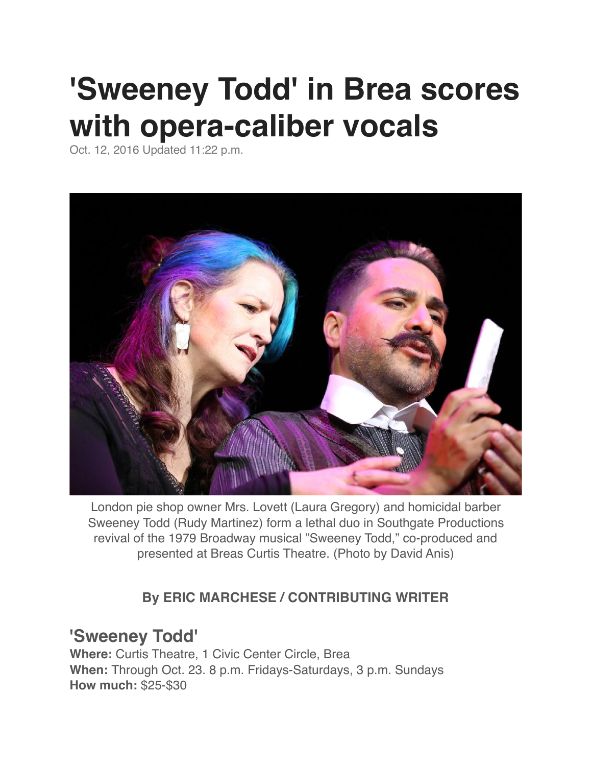## **'Sweeney Todd' in Brea scores with opera-caliber vocals**

Oct. 12, 2016 Updated 11:22 p.m.



London pie shop owner Mrs. Lovett (Laura Gregory) and homicidal barber Sweeney Todd (Rudy Martinez) form a lethal duo in Southgate Productions revival of the 1979 Broadway musical "Sweeney Todd," co-produced and presented at Breas Curtis Theatre. (Photo by David Anis)

## **By ERIC MARCHESE / CONTRIBUTING WRITER**

## **'Sweeney Todd'**

**Where:** Curtis Theatre, 1 Civic Center Circle, Brea **When:** Through Oct. 23. 8 p.m. Fridays-Saturdays, 3 p.m. Sundays **How much:** \$25-\$30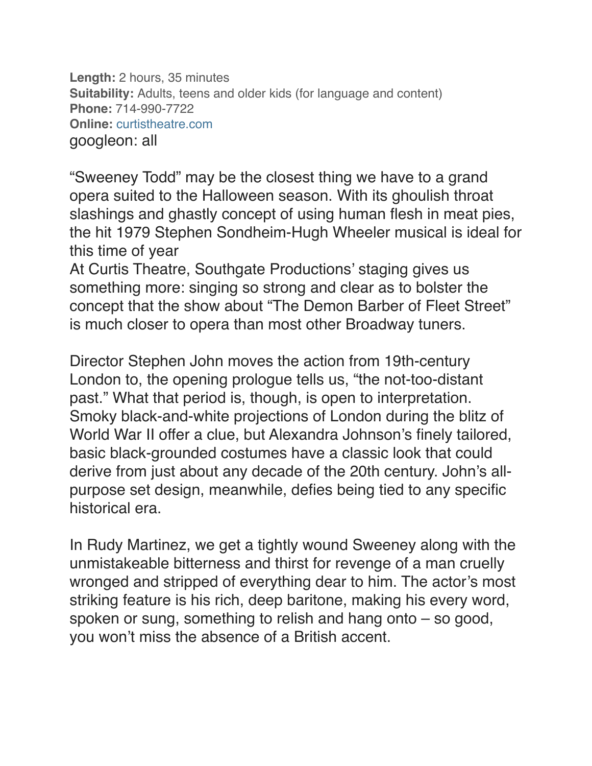**Length:** 2 hours, 35 minutes **Suitability:** Adults, teens and older kids (for language and content) **Phone:** 714-990-7722 **Online:** [curtistheatre.com](http://www.curtistheatre.com/) googleon: all

"Sweeney Todd" may be the closest thing we have to a grand opera suited to the Halloween season. With its ghoulish throat slashings and ghastly concept of using human flesh in meat pies, the hit 1979 Stephen Sondheim-Hugh Wheeler musical is ideal for this time of year

At Curtis Theatre, Southgate Productions' staging gives us something more: singing so strong and clear as to bolster the concept that the show about "The Demon Barber of Fleet Street" is much closer to opera than most other Broadway tuners.

Director Stephen John moves the action from 19th-century London to, the opening prologue tells us, "the not-too-distant past." What that period is, though, is open to interpretation. Smoky black-and-white projections of London during the blitz of World War II offer a clue, but Alexandra Johnson's finely tailored, basic black-grounded costumes have a classic look that could derive from just about any decade of the 20th century. John's allpurpose set design, meanwhile, defies being tied to any specific historical era.

In Rudy Martinez, we get a tightly wound Sweeney along with the unmistakeable bitterness and thirst for revenge of a man cruelly wronged and stripped of everything dear to him. The actor's most striking feature is his rich, deep baritone, making his every word, spoken or sung, something to relish and hang onto – so good, you won't miss the absence of a British accent.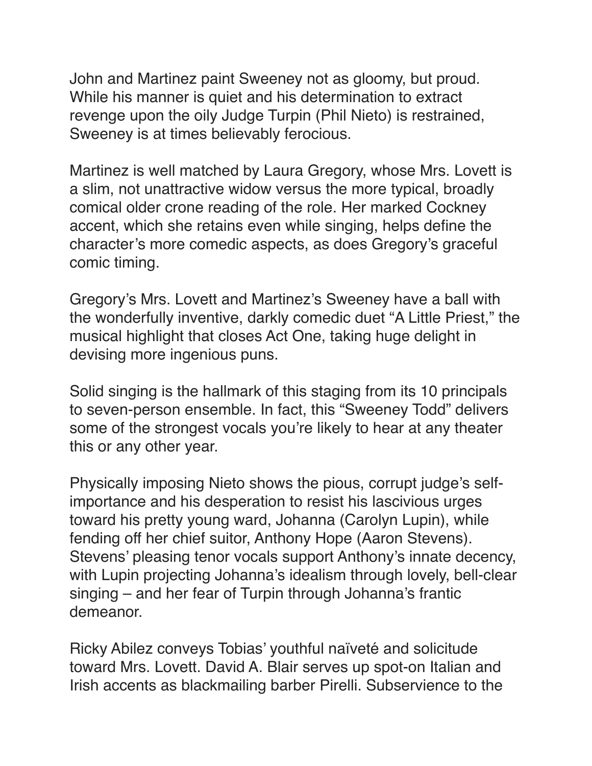John and Martinez paint Sweeney not as gloomy, but proud. While his manner is quiet and his determination to extract revenge upon the oily Judge Turpin (Phil Nieto) is restrained, Sweeney is at times believably ferocious.

Martinez is well matched by Laura Gregory, whose Mrs. Lovett is a slim, not unattractive widow versus the more typical, broadly comical older crone reading of the role. Her marked Cockney accent, which she retains even while singing, helps define the character's more comedic aspects, as does Gregory's graceful comic timing.

Gregory's Mrs. Lovett and Martinez's Sweeney have a ball with the wonderfully inventive, darkly comedic duet "A Little Priest," the musical highlight that closes Act One, taking huge delight in devising more ingenious puns.

Solid singing is the hallmark of this staging from its 10 principals to seven-person ensemble. In fact, this "Sweeney Todd" delivers some of the strongest vocals you're likely to hear at any theater this or any other year.

Physically imposing Nieto shows the pious, corrupt judge's selfimportance and his desperation to resist his lascivious urges toward his pretty young ward, Johanna (Carolyn Lupin), while fending off her chief suitor, Anthony Hope (Aaron Stevens). Stevens' pleasing tenor vocals support Anthony's innate decency, with Lupin projecting Johanna's idealism through lovely, bell-clear singing – and her fear of Turpin through Johanna's frantic demeanor.

Ricky Abilez conveys Tobias' youthful naïveté and solicitude toward Mrs. Lovett. David A. Blair serves up spot-on Italian and Irish accents as blackmailing barber Pirelli. Subservience to the